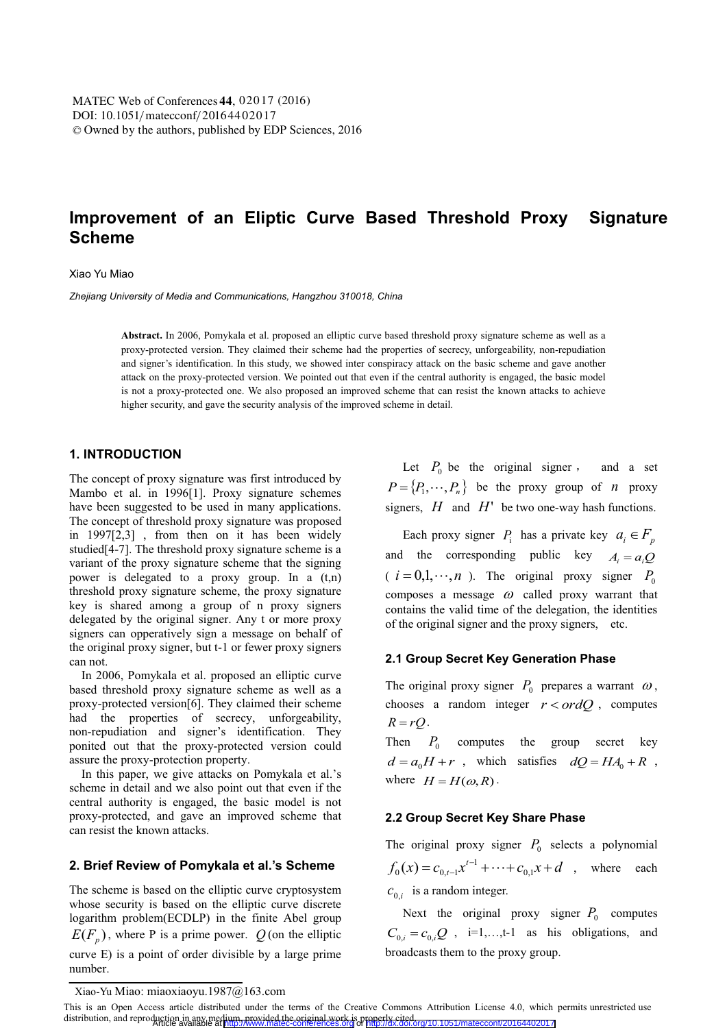# **Improvement of an Eliptic Curve Based Threshold Proxy Signature Scheme**

### Xiao Yu Miao

*Zhejiang University of Media and Communications, Hangzhou 310018, China* 

**Abstract.** In 2006, Pomykala et al. proposed an elliptic curve based threshold proxy signature scheme as well as a proxy-protected version. They claimed their scheme had the properties of secrecy, unforgeability, non-repudiation and signer's identification. In this study, we showed inter conspiracy attack on the basic scheme and gave another attack on the proxy-protected version. We pointed out that even if the central authority is engaged, the basic model is not a proxy-protected one. We also proposed an improved scheme that can resist the known attacks to achieve higher security, and gave the security analysis of the improved scheme in detail.

# **1. INTRODUCTION**

The concept of proxy signature was first introduced by Mambo et al. in 1996[1]. Proxy signature schemes have been suggested to be used in many applications. The concept of threshold proxy signature was proposed in 1997[2,3] , from then on it has been widely studied[4-7]. The threshold proxy signature scheme is a variant of the proxy signature scheme that the signing power is delegated to a proxy group. In a (t,n) threshold proxy signature scheme, the proxy signature key is shared among a group of n proxy signers delegated by the original signer. Any t or more proxy signers can opperatively sign a message on behalf of the original proxy signer, but t-1 or fewer proxy signers can not.

 In 2006, Pomykala et al. proposed an elliptic curve based threshold proxy signature scheme as well as a proxy-protected version[6]. They claimed their scheme had the properties of secrecy, unforgeability, non-repudiation and signer's identification. They ponited out that the proxy-protected version could assure the proxy-protection property.

 In this paper, we give attacks on Pomykala et al.'s scheme in detail and we also point out that even if the central authority is engaged, the basic model is not proxy-protected, and gave an improved scheme that can resist the known attacks.

### **2. Brief Review of Pomykala et al.'s Scheme**

The scheme is based on the elliptic curve cryptosystem whose security is based on the elliptic curve discrete logarithm problem(ECDLP) in the finite Abel group  $E(F_p)$ , where P is a prime power. Q (on the elliptic curve E) is a point of order divisible by a large prime number.

Let  $P_0$  be the original signer, and a set  $P = \{P_1, \dots, P_n\}$  be the proxy group of *n* proxy signers, *H* and *H*' be two one-way hash functions.

Each proxy signer  $P_i$  has a private key  $a_i \in F_p$ and the corresponding public key  $A_i = a_i Q$  $(i = 0,1,\dots,n)$ . The original proxy signer  $P_0$ composes a message  $\omega$  called proxy warrant that contains the valid time of the delegation, the identities of the original signer and the proxy signers, etc.

### **2.1 Group Secret Key Generation Phase**

The original proxy signer  $P_0$  prepares a warrant  $\omega$ , chooses a random integer  $r < ordQ$ , computes  $R = rQ$ .

Then  $P_0$  computes the group secret key  $d = a_0H + r$ , which satisfies  $dQ = HA_0 + R$ , where  $H = H(\omega, R)$ .

### **2.2 Group Secret Key Share Phase**

The original proxy signer  $P_0$  selects a polynomial  $f_0(x) = c_{0,t-1}x^{t-1} + \cdots + c_{0,1}x + d$ , where each  $c_{0,i}$  is a random integer.

Next the original proxy signer  $P_0$  computes  $C_{0,i} = c_{0,i}Q$ , i=1,...,t-1 as his obligations, and broadcasts them to the proxy group.

Xiao-Yu Miao: miaoxiaoyu.1987@163.com

This is an Open Access article distributed under the terms of the Creative Commons Attribution License 4.0, which permits unrestricted use distribution, and reproduction in any medium, provided the original work is properly cited.<br>Article available available at <http://www.matec-conferences.org> or <http://dx.doi.org/10.1051/matecconf/20164402017>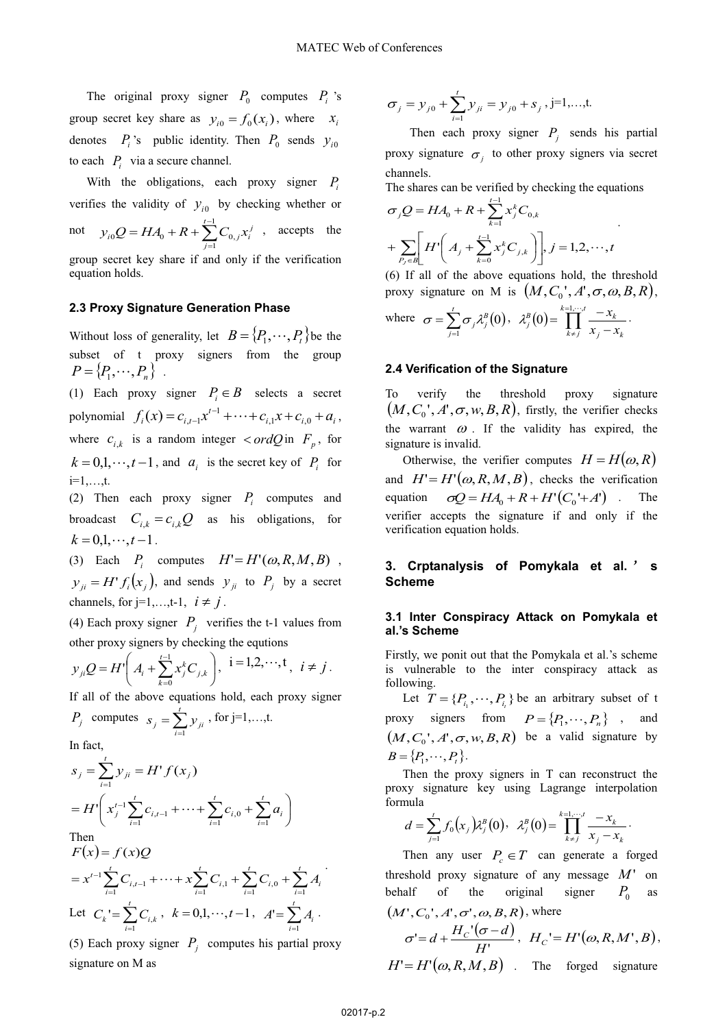The original proxy signer  $P_0$  computes  $P_i$  's group secret key share as  $y_{i0} = f_0(x_i)$ , where  $x_i$ denotes  $P_i$ 's public identity. Then  $P_0$  sends  $y_{i0}$ to each  $P_i$  via a secure channel.

With the obligations, each proxy signer *P*<sub>i</sub> verifies the validity of  $y_{i0}$  by checking whether or not  $y_{i0}Q = HA_0 + R + \sum_{i=1}^{i-1} C_{0,i} x_i^j$ *t*  $y_{i0}Q = HA_0 + R + \sum_{i=1}^{t-1} C_{0,i}x^{i}$  $\overline{a}$  $= H A_0 + R + \sum_{i=1}^{t-1}$  ${}_{0}Q = HA_{0} + R + \sum_{j=1} C_{0,j} x_{i}^{j}$ , accepts the

group secret key share if and only if the verification equation holds.

# **2.3 Proxy Signature Generation Phase**

Without loss of generality, let  $B = \{P_1, \dots, P_t\}$  be the subset of t proxy signers from the group  $P = \{P_1, \dots, P_n\}$ .

(1) Each proxy signer  $P_i \in B$  selects a secret polynomial  $f_i(x) = c_{i,t-1}x^{t-1} + \cdots + c_{i,1}x + c_{i,0} + a_i$ , where  $c_{i,k}$  is a random integer  $\langle \text{ord}Q \text{ in } F_p, \text{ for }$  $k = 0, 1, \dots, t-1$ , and  $a_i$  is the secret key of  $P_i$  for i=1,…,t.

(2) Then each proxy signer  $P_i$  computes and broadcast  $C_{i,k} = c_{i,k} Q$  as his obligations, for  $k = 0, 1, \dots, t-1$ .

(3) Each  $P_i$  computes  $H' = H'(\omega, R, M, B)$ ,  $y_{ii} = H' f_i(x_i)$ , and sends  $y_{ii}$  to  $P_i$  by a secret channels, for  $j=1,\ldots,t-1$ ,  $i \neq j$ .

(4) Each proxy signer  $P_i$  verifies the t-1 values from other proxy signers by checking the equtions

$$
y_{ji}Q = H'\left(A_i + \sum_{k=0}^{i-1} x_j^k C_{j,k}\right), i = 1,2,\dots,t, i \neq j.
$$

If all of the above equations hold, each proxy signer

$$
P_j \text{ computes } s_j = \sum_{i=1}^t y_{ji}, \text{ for } j=1,...,t.
$$

In fact,

$$
s_j = \sum_{i=1}^{t} y_{ji} = H^{\dagger} f(x_j)
$$
  
\n
$$
= H^{\dagger} \left( x_j^{t-1} \sum_{i=1}^{t} c_{i,t-1} + \dots + \sum_{i=1}^{t} c_{i,0} + \sum_{i=1}^{t} a_i \right)
$$
  
\nThen  
\n
$$
F(x) = f(x)Q
$$
  
\n
$$
= x^{t-1} \sum_{i=1}^{t} C_{i,t-1} + \dots + x \sum_{i=1}^{t} C_{i,1} + \sum_{i=1}^{t} C_{i,0} + \sum_{i=1}^{t} A_i
$$
  
\nLet  $C_k = \sum_{i=1}^{t} C_{i,k}$ ,  $k = 0,1,\dots, t-1$ ,  $A^{\dagger} = \sum_{i=1}^{t} A_i$ .

(5) Each proxy signer  $P_i$  computes his partial proxy signature on M as

$$
\sigma_j = y_{j0} + \sum_{i=1}^t y_{ji} = y_{j0} + s_j, j=1,...,t.
$$

Then each proxy signer  $P_i$  sends his partial proxy signature  $\sigma_i$  to other proxy signers via secret channels.

.

The shares can be verified by checking the equations *t* L

$$
\sigma_j Q = HA_0 + R + \sum_{k=1}^{j-1} x_j^k C_{0,k}
$$
  
+ 
$$
\sum_{P_j \in B} \left[ H' \left( A_j + \sum_{k=0}^{j-1} x_j^k C_{j,k} \right) \right], j = 1, 2, \cdots, t
$$

(6) If all of the above equations hold, the threshold proxy signature on M is  $(M, C_0^+, A^*, \sigma, \omega, B, R)$ ,

where 
$$
\sigma = \sum_{j=1}^{t} \sigma_j \lambda_j^B(0)
$$
,  $\lambda_j^B(0) = \prod_{k \neq j}^{k=1, \dots, t} \frac{-x_k}{x_j - x_k}$ .

### **2.4 Verification of the Signature**

To verify the threshold proxy signature  $(M, C_0', A', \sigma, w, B, R)$ , firstly, the verifier checks the warrant  $\omega$ . If the validity has expired, the signature is invalid.

Otherwise, the verifier computes  $H = H(\omega, R)$ and  $H' = H'(\omega, R, M, B)$ , checks the verification equation  $\sigma Q = HA_0 + R + H'(C_0' + A')$ . The verifier accepts the signature if and only if the verification equation holds.

# **3. Crptanalysis of Pomykala et al.** ÿ **s Scheme**

### **3.1 Inter Conspiracy Attack on Pomykala et al.'s Scheme**

Firstly, we ponit out that the Pomykala et al.'s scheme is vulnerable to the inter conspiracy attack as following.

Let  $T = \{P_{i_1}, \dots, P_{i_i}\}$  be an arbitrary subset of t proxy signers from  $P = \{P_1, \dots, P_n\}$ , and  $(M, C_0', A', \sigma, w, B, R)$  be a valid signature by  $B = \{P_1, \dots, P_t\}.$ 

Then the proxy signers in T can reconstruct the proxy signature key using Lagrange interpolation formula

$$
d = \sum_{j=1}^{t} f_0(x_j) \lambda_j^{B}(0), \ \lambda_j^{B}(0) = \prod_{k=1}^{k=1,\dots,t} \frac{-x_k}{x_j - x_k}.
$$

Then any user  $P_c \in T$  can generate a forged threshold proxy signature of any message  $M'$  on behalf of the original signer  $P_0$  as  $M \cap C$ <sup>*N*</sup>

$$
(M', C_0', A', \sigma', \omega, B, R), \text{ where}
$$
  
\n
$$
\sigma' = d + \frac{H_C'(\sigma - d)}{H'}, \quad H_C' = H'(\omega, R, M', B),
$$
  
\n
$$
H' = H'(\omega, R, M, B) \quad \text{The forged signature}
$$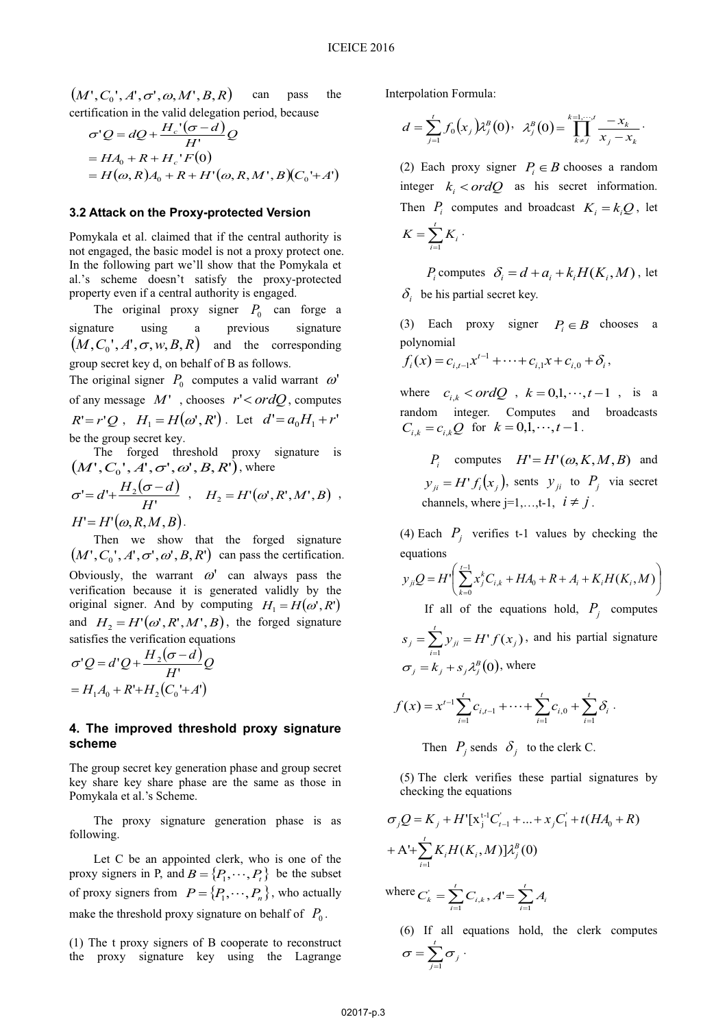$(M', C_0', A', \sigma', \omega, M', B, R)$  can pass the

certification in the valid delegation period, because  
\n
$$
\sigma'Q = dQ + \frac{H_c'(\sigma - d)}{H'}Q
$$
\n
$$
= HA_0 + R + H_c'F(0)
$$
\n
$$
= H(\omega, R)A_0 + R + H'(\omega, R, M', B)(C_0' + A')
$$

### **3.2 Attack on the Proxy-protected Version**

Pomykala et al. claimed that if the central authority is not engaged, the basic model is not a proxy protect one. In the following part we'll show that the Pomykala et al.'s scheme doesn't satisfy the proxy-protected property even if a central authority is engaged.

The original proxy signer  $P_0$  can forge a signature using a previous signature  $(M, C_0, A', \sigma, w, B, R)$  and the corresponding group secret key d, on behalf of B as follows.

The original signer  $P_0$  computes a valid warrant  $\omega'$ of any message  $M'$ , chooses  $r' < ordQ$ , computes  $R' = r'Q$ ,  $H_1 = H(\omega', R')$ . Let  $d' = a_0H_1 + r'$ be the group secret key.

 The forged threshold proxy signature is  $(M', C_0', A', \sigma', \omega', B, R')$ , where  $=d' + \frac{H_2(\sigma - d)}{H_2}$ 

$$
\sigma' = d' + \frac{H_2(\sigma - d)}{H'}, \quad H_2 = H'(\omega', R', M', B) ,
$$
  
H' = H'(\omega, R, M, B).

 Then we show that the forged signature  $(M', C_0', A', \sigma', \omega', B, R')$  can pass the certification. Obviously, the warrant  $\omega'$  can always pass the verification because it is generated validly by the original signer. And by computing  $H_1 = H(\omega', R')$ and  $H_2 = H'(\omega', R', M', B)$ , the forged signature satisfies the verification equations

$$
\sigma'Q = d'Q + \frac{H_2(\sigma - d)}{H'}Q
$$

$$
= H_1A_0 + R' + H_2(C_0' + A')
$$

### **4. The improved threshold proxy signature scheme**

The group secret key generation phase and group secret key share key share phase are the same as those in Pomykala et al.'s Scheme.

 The proxy signature generation phase is as following.

 Let C be an appointed clerk, who is one of the proxy signers in P, and  $B = \{P_1, \dots, P_t\}$  be the subset of proxy signers from  $P = \{P_1, \dots, P_n\}$ , who actually make the threshold proxy signature on behalf of  $P_0$ .

(1) The t proxy signers of B cooperate to reconstruct the proxy signature key using the Lagrange Interpolation Formula:

$$
d = \sum_{j=1}^{t} f_0(x_j) \lambda_j^B(0), \ \ \lambda_j^B(0) = \prod_{k \neq j}^{k=1, \dots, t} \frac{-x_k}{x_j - x_k}.
$$

(2) Each proxy signer  $P_i \in B$  chooses a random integer  $k_i < \text{ord}Q$  as his secret information. Then  $P_i$  computes and broadcast  $K_i = k_i Q$ , let  $\sum_{i=1}^t$  $=\sum^t$  $K = \sum_{i=1}^{i} K_i$ 1 .

*P*<sub>*i*</sub> computes  $\delta_i = d + a_i + k_i H(K_i, M)$ , let  $\delta_i$  be his partial secret key.

(3) Each proxy signer  $P_i \in B$  chooses a polynomial

$$
f_i(x) = c_{i,t-1}x^{t-1} + \cdots + c_{i,1}x + c_{i,0} + \delta_i,
$$

where  $c_{i,k} < \text{ord}Q$ ,  $k = 0,1,\dots, t-1$ , is a random integer. Computes and broadcasts  $C_{i,k} = c_{i,k} Q$  for  $k = 0,1,\dots, t-1$ .

*P<sub>i</sub>* computes  $H' = H'(\omega, K, M, B)$  and  $y_{ii} = H' f_i(x_i)$ , sents  $y_{ii}$  to  $P_i$  via secret channels, where  $i=1,\ldots,t-1$ ,  $i \neq j$ .

(4) Each  $P_i$  verifies t-1 values by checking the equations

$$
y_{ji}Q = H'\left(\sum_{k=0}^{t-1} x_j^k C_{i,k} + HA_0 + R + A_i + K_i H(K_i, M)\right)
$$
  
If all of the equations hold,  $P_j$  computes  

$$
s_j = \sum_{i=1}^t y_{ji} = H'f(x_j), \text{ and his partial signature}
$$

$$
\sigma_j = k_j + s_j \lambda_j^B(0), \text{ where}
$$

$$
f(x) = x^{t-1} \sum_{i=1}^{t} c_{i,t-1} + \cdots + \sum_{i=1}^{t} c_{i,0} + \sum_{i=1}^{t} \delta_i.
$$

Then  $P_j$  sends  $\delta_j$  to the clerk C.

(5) The clerk verifies these partial signatures by checking the equations

$$
\sigma_j Q = K_j + H'[\mathbf{x}_j^{t-1} C_{i-1} + ... + x_j C_1' + t (HA_0 + R)
$$
  
+ A'+ $\sum_{i=1}^t K_i H(K_i, M) ] \lambda_j^B(0)$   
where  $C_k' = \sum_{i=1}^t C_{i,k}, A' = \sum_{i=1}^t A_i$ 

(6) If all equations hold, the clerk computes  $\sum_{i=1}^t$  $=\sum_{i=1}^{\infty}$  $\sum_{j=1}$  $\sigma_j$ 1  $\sigma = \sum \sigma_i$ .